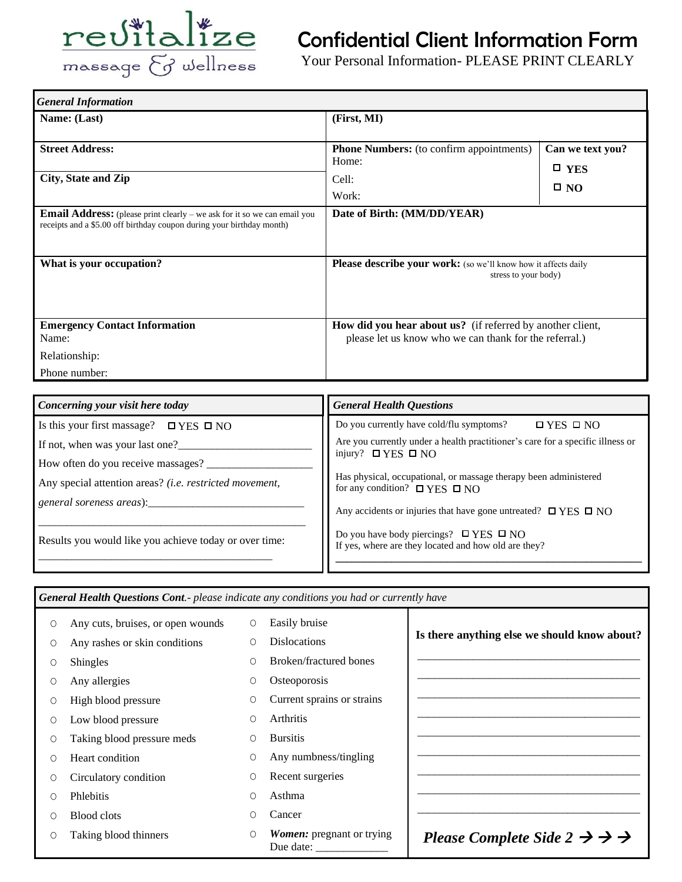

## Confidential Client Information Form

Your Personal Information- PLEASE PRINT CLEARLY

| <b>General Information</b>                                                                                                                                 |                                                                                                                      |                                                   |  |  |
|------------------------------------------------------------------------------------------------------------------------------------------------------------|----------------------------------------------------------------------------------------------------------------------|---------------------------------------------------|--|--|
| Name: (Last)                                                                                                                                               | (First, MI)                                                                                                          |                                                   |  |  |
| <b>Street Address:</b><br>City, State and Zip                                                                                                              | <b>Phone Numbers:</b> (to confirm appointments)<br>Home:<br>Cell:<br>Work:                                           | Can we text you?<br>$\square$ YES<br>$\square$ NO |  |  |
| <b>Email Address:</b> (please print clearly $-$ we ask for it so we can email you<br>receipts and a \$5.00 off birthday coupon during your birthday month) | Date of Birth: (MM/DD/YEAR)                                                                                          |                                                   |  |  |
| What is your occupation?                                                                                                                                   | Please describe your work: (so we'll know how it affects daily<br>stress to your body)                               |                                                   |  |  |
| <b>Emergency Contact Information</b><br>Name:                                                                                                              | How did you hear about us? (if referred by another client,<br>please let us know who we can thank for the referral.) |                                                   |  |  |
| Relationship:<br>Phone number:                                                                                                                             |                                                                                                                      |                                                   |  |  |

| <b>General Health Questions</b>                                                                                |  |
|----------------------------------------------------------------------------------------------------------------|--|
| Do you currently have cold/flu symptoms?<br>$\Box$ YES $\Box$ NO                                               |  |
| Are you currently under a health practitioner's care for a specific illness or<br>injury? $\Box$ YES $\Box$ NO |  |
|                                                                                                                |  |
| Has physical, occupational, or massage therapy been administered<br>for any condition? $\Box$ YES $\Box$ NO    |  |
| Any accidents or injuries that have gone untreated? $\Box$ YES $\Box$ NO                                       |  |
| Do you have body piercings? $\Box$ YES $\Box$ NO<br>If yes, where are they located and how old are they?       |  |
|                                                                                                                |  |

| <b>General Health Questions Cont.</b> - please indicate any conditions you had or currently have |                                   |         |                                               |                                                              |  |
|--------------------------------------------------------------------------------------------------|-----------------------------------|---------|-----------------------------------------------|--------------------------------------------------------------|--|
| 0                                                                                                | Any cuts, bruises, or open wounds | $\circ$ | Easily bruise                                 |                                                              |  |
| O                                                                                                | Any rashes or skin conditions     | Ω       | <b>Dislocations</b>                           | Is there anything else we should know about?                 |  |
| O                                                                                                | <b>Shingles</b>                   | Ω       | Broken/fractured bones                        |                                                              |  |
| O                                                                                                | Any allergies                     | О       | Osteoporosis                                  |                                                              |  |
| O                                                                                                | High blood pressure               | 0       | Current sprains or strains                    |                                                              |  |
| 0                                                                                                | Low blood pressure                | O       | Arthritis                                     |                                                              |  |
| O                                                                                                | Taking blood pressure meds        | 0       | <b>Bursitis</b>                               |                                                              |  |
| Ω                                                                                                | Heart condition                   | O       | Any numbness/tingling                         |                                                              |  |
| O                                                                                                | Circulatory condition             | O       | Recent surgeries                              |                                                              |  |
| ∩                                                                                                | Phlebitis                         | O       | Asthma                                        |                                                              |  |
| Ω                                                                                                | <b>Blood clots</b>                | Ο       | Cancer                                        |                                                              |  |
| O                                                                                                | Taking blood thinners             | O       | <b>Women:</b> pregnant or trying<br>Due date: | Please Complete Side $2 \rightarrow \rightarrow \rightarrow$ |  |